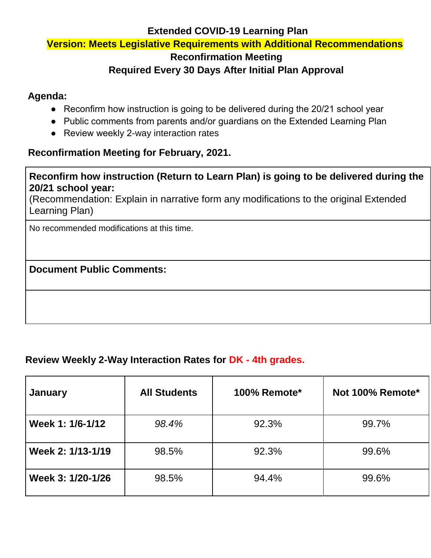#### **Extended COVID-19 Learning Plan**

#### **Version: Meets Legislative Requirements with Additional Recommendations**

#### **Reconfirmation Meeting**

### **Required Every 30 Days After Initial Plan Approval**

# **Agenda:**

- Reconfirm how instruction is going to be delivered during the 20/21 school year
- Public comments from parents and/or guardians on the Extended Learning Plan
- Review weekly 2-way interaction rates

#### **Reconfirmation Meeting for February, 2021.**

#### **Reconfirm how instruction (Return to Learn Plan) is going to be delivered during the 20/21 school year:**

(Recommendation: Explain in narrative form any modifications to the original Extended Learning Plan)

No recommended modifications at this time.

### **Document Public Comments:**

### **Review Weekly 2-Way Interaction Rates for DK - 4th grades.**

| <b>January</b>    | <b>All Students</b> | 100% Remote* | Not 100% Remote* |
|-------------------|---------------------|--------------|------------------|
| Week 1: 1/6-1/12  | 98.4%               | 92.3%        | 99.7%            |
| Week 2: 1/13-1/19 | 98.5%               | 92.3%        | 99.6%            |
| Week 3: 1/20-1/26 | 98.5%               | 94.4%        | 99.6%            |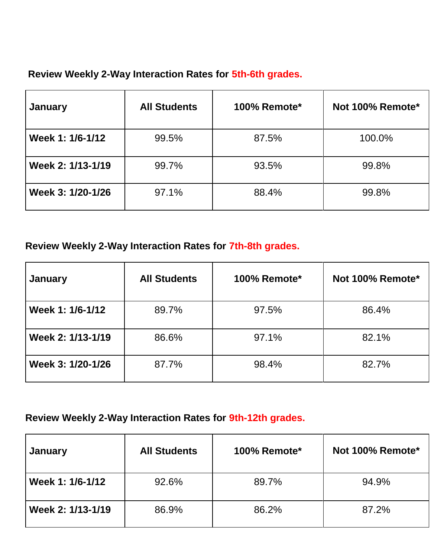### **Review Weekly 2-Way Interaction Rates for 5th-6th grades.**

| <b>January</b>    | <b>All Students</b> | 100% Remote* | Not 100% Remote* |
|-------------------|---------------------|--------------|------------------|
| Week 1: 1/6-1/12  | 99.5%               | 87.5%        | 100.0%           |
| Week 2: 1/13-1/19 | 99.7%               | 93.5%        | 99.8%            |
| Week 3: 1/20-1/26 | 97.1%               | 88.4%        | 99.8%            |

# **Review Weekly 2-Way Interaction Rates for 7th-8th grades.**

| January           | <b>All Students</b> | 100% Remote* | Not 100% Remote* |
|-------------------|---------------------|--------------|------------------|
| Week 1: 1/6-1/12  | 89.7%               | 97.5%        | 86.4%            |
| Week 2: 1/13-1/19 | 86.6%               | 97.1%        | 82.1%            |
| Week 3: 1/20-1/26 | 87.7%               | 98.4%        | 82.7%            |

# **Review Weekly 2-Way Interaction Rates for 9th-12th grades.**

| <b>January</b>    | <b>All Students</b> | <b>100% Remote*</b> | Not 100% Remote* |
|-------------------|---------------------|---------------------|------------------|
| Week 1: 1/6-1/12  | 92.6%               | 89.7%               | 94.9%            |
| Week 2: 1/13-1/19 | 86.9%               | 86.2%               | 87.2%            |